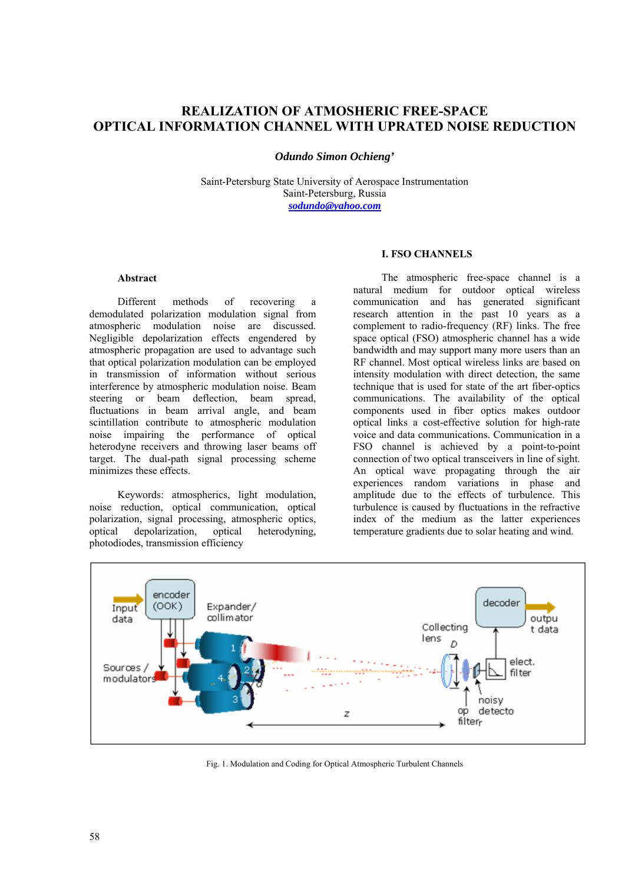# **REALIZATION OF ATMOSHERIC FREE-SPACE OPTICAL INFORMATION CHANNEL WITH UPRATED NOISE REDUCTION**

*Odundo Simon Ochieng'* 

Saint-Petersburg State University of Aerospace Instrumentation Saint-Petersburg, Russia *[sodundo@yahoo.com](mailto:sodundo@yahoo.com)*

# **I. FSO CHANNELS**

# **Abstract**

Different methods of recovering a demodulated polarization modulation signal from atmospheric modulation noise are discussed. Negligible depolarization effects engendered by atmospheric propagation are used to advantage such that optical polarization modulation can be employed in transmission of information without serious interference by atmospheric modulation noise. Beam steering or beam deflection, beam spread, fluctuations in beam arrival angle, and beam scintillation contribute to atmospheric modulation noise impairing the performance of optical heterodyne receivers and throwing laser beams off target. The dual-path signal processing scheme minimizes these effects.

Keywords: atmospherics, light modulation, noise reduction, optical communication, optical polarization, signal processing, atmospheric optics, optical depolarization, optical heterodyning, photodiodes, transmission efficiency

The atmospheric free-space channel is a natural medium for outdoor optical wireless communication and has generated significant research attention in the past 10 years as a complement to radio-frequency (RF) links. The free space optical (FSO) atmospheric channel has a wide bandwidth and may support many more users than an RF channel. Most optical wireless links are based on intensity modulation with direct detection, the same technique that is used for state of the art fiber-optics communications. The availability of the optical components used in fiber optics makes outdoor optical links a cost-effective solution for high-rate voice and data communications. Communication in a FSO channel is achieved by a point-to-point connection of two optical transceivers in line of sight. An optical wave propagating through the air experiences random variations in phase and amplitude due to the effects of turbulence. This turbulence is caused by fluctuations in the refractive index of the medium as the latter experiences temperature gradients due to solar heating and wind.



Fig. 1. Modulation and Coding for Optical Atmospheric Turbulent Channels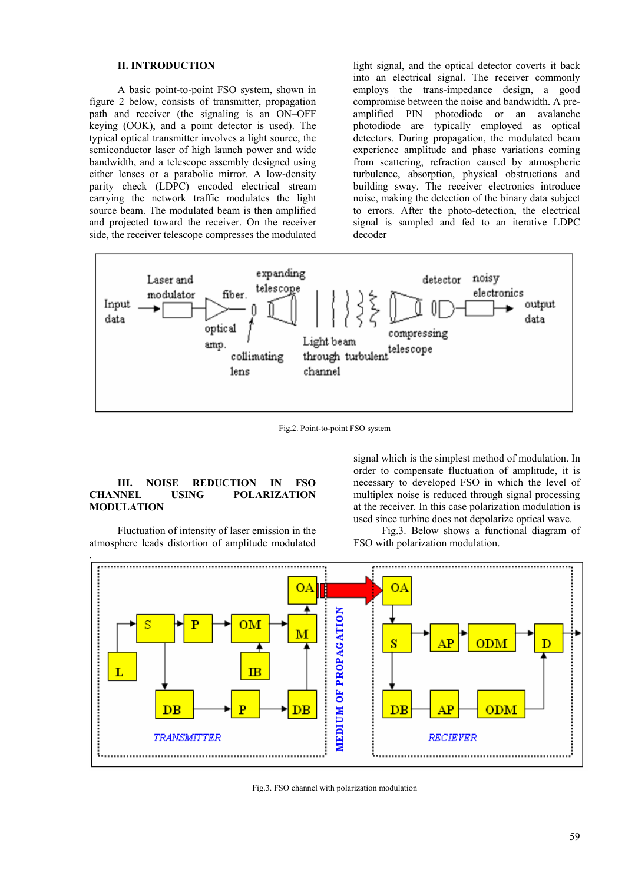# **II. INTRODUCTION**

A basic point-to-point FSO system, shown in figure 2 below, consists of transmitter, propagation path and receiver (the signaling is an ON–OFF keying (OOK), and a point detector is used). The typical optical transmitter involves a light source, the semiconductor laser of high launch power and wide bandwidth, and a telescope assembly designed using either lenses or a parabolic mirror. A low-density parity check (LDPC) encoded electrical stream carrying the network traffic modulates the light source beam. The modulated beam is then amplified and projected toward the receiver. On the receiver side, the receiver telescope compresses the modulated

light signal, and the optical detector coverts it back into an electrical signal. The receiver commonly employs the trans-impedance design, a good compromise between the noise and bandwidth. A preamplified PIN photodiode or an avalanche photodiode are typically employed as optical detectors. During propagation, the modulated beam experience amplitude and phase variations coming from scattering, refraction caused by atmospheric turbulence, absorption, physical obstructions and building sway. The receiver electronics introduce noise, making the detection of the binary data subject to errors. After the photo-detection, the electrical signal is sampled and fed to an iterative LDPC decoder



Fig.2. Point-to-point FSO system

# **III. NOISE REDUCTION IN FSO CHANNEL USING POLARIZATION MODULATION**

Fluctuation of intensity of laser emission in the atmosphere leads distortion of amplitude modulated

signal which is the simplest method of modulation. In order to compensate fluctuation of amplitude, it is necessary to developed FSO in which the level of multiplex noise is reduced through signal processing at the receiver. In this case polarization modulation is used since turbine does not depolarize optical wave.

Fig.3. Below shows a functional diagram of FSO with polarization modulation.



Fig.3. FSO channel with polarization modulation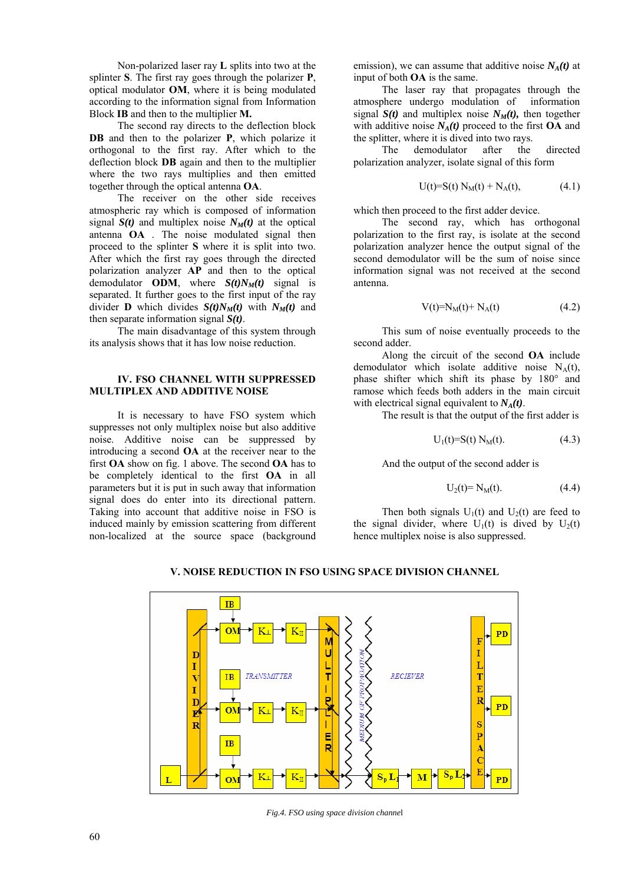Non-polarized laser ray **L** splits into two at the splinter **S**. The first ray goes through the polarizer **P**, optical modulator **OM**, where it is being modulated according to the information signal from Information Block **IB** and then to the multiplier **M.**

The second ray directs to the deflection block **DB** and then to the polarizer **P**, which polarize it orthogonal to the first ray. After which to the deflection block **DB** again and then to the multiplier where the two rays multiplies and then emitted together through the optical antenna **OA**.

The receiver on the other side receives atmospheric ray which is composed of information signal  $S(t)$  and multiplex noise  $N_M(t)$  at the optical antenna **OA** . The noise modulated signal then proceed to the splinter **S** where it is split into two. After which the first ray goes through the directed polarization analyzer **AP** and then to the optical demodulator **ODM**, where  $S(t)N_M(t)$  signal is separated. It further goes to the first input of the ray divider **D** which divides  $S(t)N_M(t)$  with  $N_M(t)$  and then separate information signal *S(t)*.

The main disadvantage of this system through its analysis shows that it has low noise reduction.

#### **IV. FSO CHANNEL WITH SUPPRESSED MULTIPLEX AND ADDITIVE NOISE**

It is necessary to have FSO system which suppresses not only multiplex noise but also additive noise. Additive noise can be suppressed by introducing a second **OA** at the receiver near to the first **OA** show on fig. 1 above. The second **OA** has to be completely identical to the first **OA** in all parameters but it is put in such away that information signal does do enter into its directional pattern. Taking into account that additive noise in FSO is induced mainly by emission scattering from different non-localized at the source space (background

emission), we can assume that additive noise  $N<sub>A</sub>(t)$  at input of both **OA** is the same.

The laser ray that propagates through the atmosphere undergo modulation of information signal  $S(t)$  and multiplex noise  $N_M(t)$ , then together with additive noise  $N_A(t)$  proceed to the first **OA** and the splitter, where it is dived into two rays.

The demodulator after the directed polarization analyzer, isolate signal of this form

$$
U(t)=S(t) N_M(t) + N_A(t), \t(4.1)
$$

which then proceed to the first adder device.

The second ray, which has orthogonal polarization to the first ray, is isolate at the second polarization analyzer hence the output signal of the second demodulator will be the sum of noise since information signal was not received at the second antenna.

$$
V(t)=N_M(t)+N_A(t)
$$
 (4.2)

This sum of noise eventually proceeds to the second adder.

Along the circuit of the second **OA** include demodulator which isolate additive noise  $N_A(t)$ , phase shifter which shift its phase by 180° and ramose which feeds both adders in the main circuit with electrical signal equivalent to  $N_A(t)$ .

The result is that the output of the first adder is

$$
U_1(t)=S(t) N_M(t).
$$
 (4.3)

And the output of the second adder is

$$
U_2(t) = N_M(t). \t\t(4.4)
$$

Then both signals  $U_1(t)$  and  $U_2(t)$  are feed to the signal divider, where  $U_1(t)$  is dived by  $U_2(t)$ hence multiplex noise is also suppressed.



# **V. NOISE REDUCTION IN FSO USING SPACE DIVISION CHANNEL**

*Fig.4. FSO using space division channe*l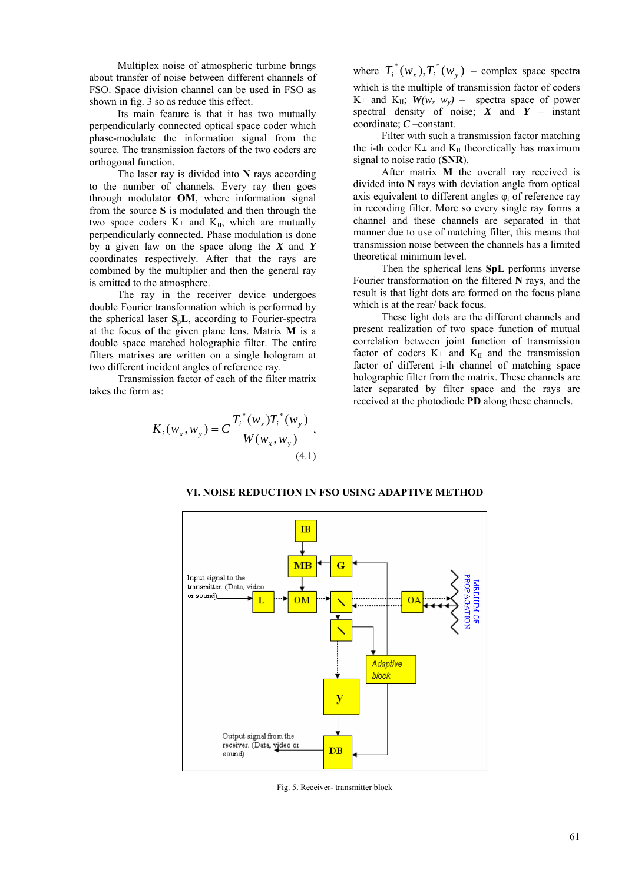Multiplex noise of atmospheric turbine brings about transfer of noise between different channels of FSO. Space division channel can be used in FSO as shown in fig. 3 so as reduce this effect.

Its main feature is that it has two mutually perpendicularly connected optical space coder which phase-modulate the information signal from the source. The transmission factors of the two coders are orthogonal function.

The laser ray is divided into **N** rays according to the number of channels. Every ray then goes through modulator **OM**, where information signal from the source **S** is modulated and then through the two space coders  $K \perp$  and  $K_{II}$ , which are mutually perpendicularly connected. Phase modulation is done by a given law on the space along the *X* and *Y* coordinates respectively. After that the rays are combined by the multiplier and then the general ray is emitted to the atmosphere.

The ray in the receiver device undergoes double Fourier transformation which is performed by the spherical laser **SpL**, according to Fourier-spectra at the focus of the given plane lens. Matrix **M** is a double space matched holographic filter. The entire filters matrixes are written on a single hologram at two different incident angles of reference ray.

Transmission factor of each of the filter matrix takes the form as:

$$
K_{i}(w_{x}, w_{y}) = C \frac{T_{i}^{*}(w_{x})T_{i}^{*}(w_{y})}{W(w_{x}, w_{y})},
$$
\n(4.1)

where  $T_i^*(w_x)$ , $T_i^*(w_y)$  – complex space spectra which is the multiple of transmission factor of coders K $\perp$  and K<sub>II</sub>;  $W(w_x, w_y)$  – spectra space of power spectral density of noise;  $X$  and  $Y$  – instant coordinate; *C* –constant.

Filter with such a transmission factor matching the i-th coder  $K<sub>\perp</sub>$  and  $K<sub>II</sub>$  theoretically has maximum signal to noise ratio (**SNR**).

After matrix **M** the overall ray received is divided into **N** rays with deviation angle from optical axis equivalent to different angles  $\varphi_i$  of reference ray in recording filter. More so every single ray forms a channel and these channels are separated in that manner due to use of matching filter, this means that transmission noise between the channels has a limited theoretical minimum level.

Then the spherical lens **SpL** performs inverse Fourier transformation on the filtered **N** rays, and the result is that light dots are formed on the focus plane which is at the rear/ back focus.

These light dots are the different channels and present realization of two space function of mutual correlation between joint function of transmission factor of coders  $K_{\perp}$  and  $K_{\parallel}$  and the transmission factor of different i-th channel of matching space holographic filter from the matrix. These channels are later separated by filter space and the rays are received at the photodiode **PD** along these channels.



### **VI. NOISE REDUCTION IN FSO USING ADAPTIVE METHOD**

Fig. 5. Receiver- transmitter block